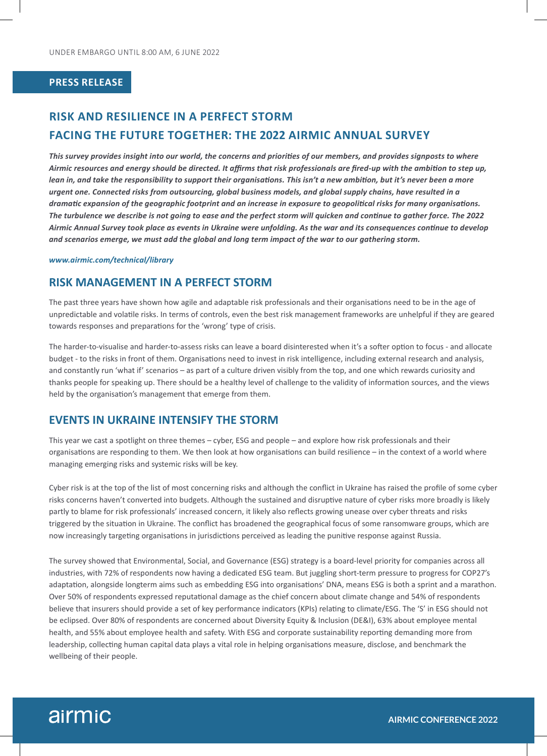#### **PRESS RELEASE**

# **RISK AND RESILIENCE IN A PERFECT STORM FACING THE FUTURE TOGETHER: THE 2022 AIRMIC ANNUAL SURVEY**

*This survey provides insight into our world, the concerns and priorities of our members, and provides signposts to where Airmic resources and energy should be directed. It affirms that risk professionals are fired-up with the ambition to step up, lean in, and take the responsibility to support their organisations. This isn't a new ambition, but it's never been a more urgent one. Connected risks from outsourcing, global business models, and global supply chains, have resulted in a dramatic expansion of the geographic footprint and an increase in exposure to geopolitical risks for many organisations. The turbulence we describe is not going to ease and the perfect storm will quicken and continue to gather force. The 2022 Airmic Annual Survey took place as events in Ukraine were unfolding. As the war and its consequences continue to develop and scenarios emerge, we must add the global and long term impact of the war to our gathering storm.*

#### *www.airmic.com/technical/library*

## **RISK MANAGEMENT IN A PERFECT STORM**

The past three years have shown how agile and adaptable risk professionals and their organisations need to be in the age of unpredictable and volatile risks. In terms of controls, even the best risk management frameworks are unhelpful if they are geared towards responses and preparations for the 'wrong' type of crisis.

The harder-to-visualise and harder-to-assess risks can leave a board disinterested when it's a softer option to focus - and allocate budget - to the risks in front of them. Organisations need to invest in risk intelligence, including external research and analysis, and constantly run 'what if' scenarios – as part of a culture driven visibly from the top, and one which rewards curiosity and thanks people for speaking up. There should be a healthy level of challenge to the validity of information sources, and the views held by the organisation's management that emerge from them.

#### **EVENTS IN UKRAINE INTENSIFY THE STORM**

This year we cast a spotlight on three themes – cyber, ESG and people – and explore how risk professionals and their organisations are responding to them. We then look at how organisations can build resilience – in the context of a world where managing emerging risks and systemic risks will be key.

Cyber risk is at the top of the list of most concerning risks and although the conflict in Ukraine has raised the profile of some cyber risks concerns haven't converted into budgets. Although the sustained and disruptive nature of cyber risks more broadly is likely partly to blame for risk professionals' increased concern, it likely also reflects growing unease over cyber threats and risks triggered by the situation in Ukraine. The conflict has broadened the geographical focus of some ransomware groups, which are now increasingly targeting organisations in jurisdictions perceived as leading the punitive response against Russia.

The survey showed that Environmental, Social, and Governance (ESG) strategy is a board-level priority for companies across all industries, with 72% of respondents now having a dedicated ESG team. But juggling short-term pressure to progress for COP27's adaptation, alongside longterm aims such as embedding ESG into organisations' DNA, means ESG is both a sprint and a marathon. Over 50% of respondents expressed reputational damage as the chief concern about climate change and 54% of respondents believe that insurers should provide a set of key performance indicators (KPIs) relating to climate/ESG. The 'S' in ESG should not be eclipsed. Over 80% of respondents are concerned about Diversity Equity & Inclusion (DE&I), 63% about employee mental health, and 55% about employee health and safety. With ESG and corporate sustainability reporting demanding more from leadership, collecting human capital data plays a vital role in helping organisations measure, disclose, and benchmark the wellbeing of their people.

# airmic